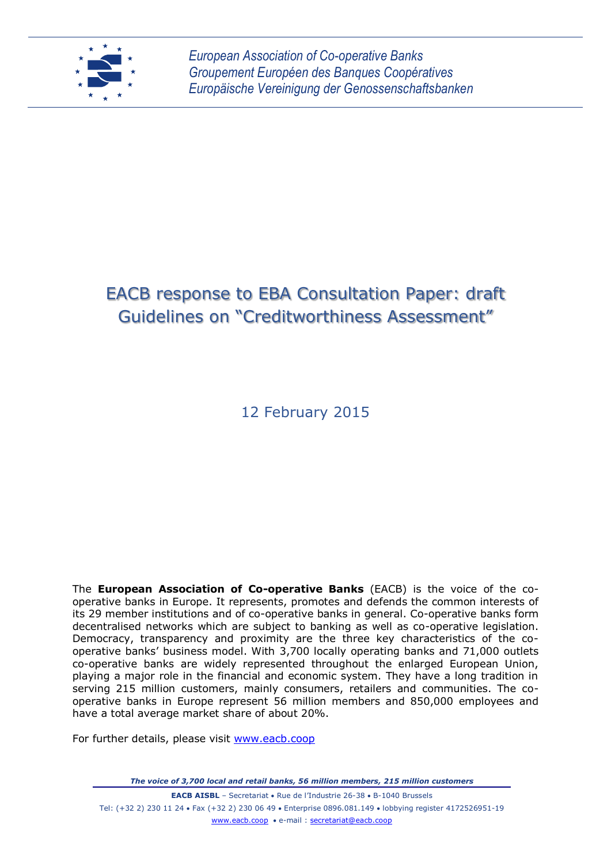

# EACB response to EBA Consultation Paper: draft Guidelines on "Creditworthiness Assessment"

12 February 2015

The **European Association of Co-operative Banks** (EACB) is the voice of the cooperative banks in Europe. It represents, promotes and defends the common interests of its 29 member institutions and of co-operative banks in general. Co-operative banks form decentralised networks which are subject to banking as well as co-operative legislation. Democracy, transparency and proximity are the three key characteristics of the cooperative banks' business model. With 3,700 locally operating banks and 71,000 outlets co-operative banks are widely represented throughout the enlarged European Union, playing a major role in the financial and economic system. They have a long tradition in serving 215 million customers, mainly consumers, retailers and communities. The cooperative banks in Europe represent 56 million members and 850,000 employees and have a total average market share of about 20%.

For further details, please visit [www.eacb.coop](http://www.eacb.coop/)

*The voice of 3,700 local and retail banks, 56 million members, 215 million customers*

**EACB AISBL** – Secretariat • Rue de l'Industrie 26-38 • B-1040 Brussels Tel: (+32 2) 230 11 24 Fax (+32 2) 230 06 49 Enterprise 0896.081.149 lobbying register 4172526951-19 [www.eacb.coop](http://www.eacb.coop/) e-mail : [secretariat@eacb.coop](mailto:secretariat@eacb.coop)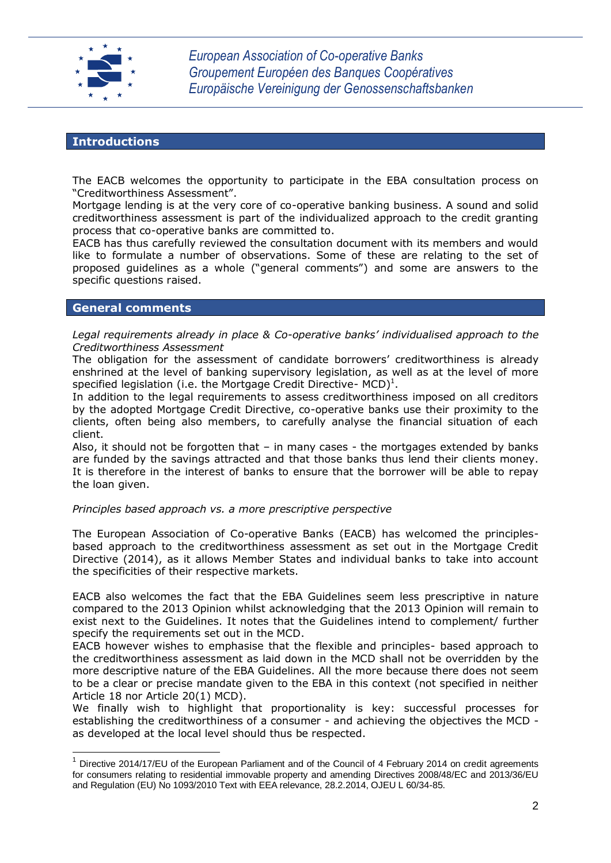

## **Introductions**

The EACB welcomes the opportunity to participate in the EBA consultation process on "Creditworthiness Assessment".

Mortgage lending is at the very core of co-operative banking business. A sound and solid creditworthiness assessment is part of the individualized approach to the credit granting process that co-operative banks are committed to.

EACB has thus carefully reviewed the consultation document with its members and would like to formulate a number of observations. Some of these are relating to the set of proposed guidelines as a whole ("general comments") and some are answers to the specific questions raised.

#### **General comments**

 $\overline{a}$ 

*Legal requirements already in place & Co-operative banks' individualised approach to the Creditworthiness Assessment*

The obligation for the assessment of candidate borrowers' creditworthiness is already enshrined at the level of banking supervisory legislation, as well as at the level of more specified legislation (i.e. the Mortgage Credit Directive- MCD) $^1$ .

In addition to the legal requirements to assess creditworthiness imposed on all creditors by the adopted Mortgage Credit Directive, co-operative banks use their proximity to the clients, often being also members, to carefully analyse the financial situation of each client.

Also, it should not be forgotten that  $-$  in many cases  $-$  the mortgages extended by banks are funded by the savings attracted and that those banks thus lend their clients money. It is therefore in the interest of banks to ensure that the borrower will be able to repay the loan given.

#### *Principles based approach vs. a more prescriptive perspective*

The European Association of Co-operative Banks (EACB) has welcomed the principlesbased approach to the creditworthiness assessment as set out in the Mortgage Credit Directive (2014), as it allows Member States and individual banks to take into account the specificities of their respective markets.

EACB also welcomes the fact that the EBA Guidelines seem less prescriptive in nature compared to the 2013 Opinion whilst acknowledging that the 2013 Opinion will remain to exist next to the Guidelines. It notes that the Guidelines intend to complement/ further specify the requirements set out in the MCD.

EACB however wishes to emphasise that the flexible and principles- based approach to the creditworthiness assessment as laid down in the MCD shall not be overridden by the more descriptive nature of the EBA Guidelines. All the more because there does not seem to be a clear or precise mandate given to the EBA in this context (not specified in neither Article 18 nor Article 20(1) MCD).

We finally wish to highlight that proportionality is key: successful processes for establishing the creditworthiness of a consumer - and achieving the objectives the MCD as developed at the local level should thus be respected.

<sup>&</sup>lt;sup>1</sup> Directive 2014/17/EU of the European Parliament and of the Council of 4 February 2014 on credit agreements for consumers relating to residential immovable property and amending Directives 2008/48/EC and 2013/36/EU and Regulation (EU) No 1093/2010 Text with EEA relevance, 28.2.2014, OJEU L 60/34-85.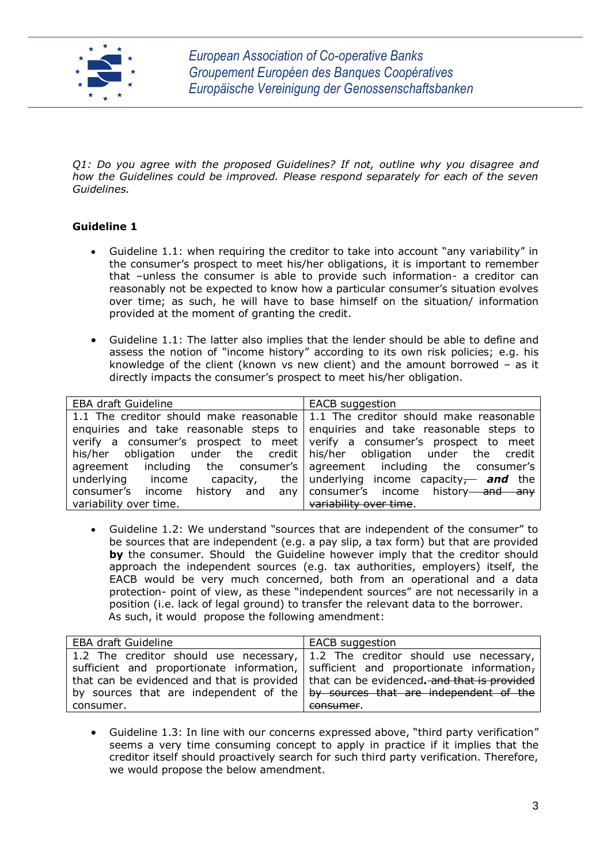

*Q1: Do you agree with the proposed Guidelines? If not, outline why you disagree and how the Guidelines could be improved. Please respond separately for each of the seven Guidelines.*

# **Guideline 1**

- Guideline 1.1: when requiring the creditor to take into account "any variability" in the consumer's prospect to meet his/her obligations, it is important to remember that –unless the consumer is able to provide such information- a creditor can reasonably not be expected to know how a particular consumer's situation evolves over time; as such, he will have to base himself on the situation/ information provided at the moment of granting the credit.
- Guideline 1.1: The latter also implies that the lender should be able to define and assess the notion of "income history" according to its own risk policies; e.g. his knowledge of the client (known vs new client) and the amount borrowed – as it directly impacts the consumer's prospect to meet his/her obligation.

| <b>EBA draft Guideline</b>                                                              | <b>EACB</b> suggestion                                                    |  |  |
|-----------------------------------------------------------------------------------------|---------------------------------------------------------------------------|--|--|
| 1.1 The creditor should make reasonable $\vert$ 1.1 The creditor should make reasonable |                                                                           |  |  |
| enquiries and take reasonable steps to enquiries and take reasonable steps to           |                                                                           |  |  |
|                                                                                         | verify a consumer's prospect to meet verify a consumer's prospect to meet |  |  |
| his/her obligation under the credit his/her obligation under                            | the credit                                                                |  |  |
|                                                                                         | agreement including the consumer's agreement including the consumer's     |  |  |
| underlying<br>income<br>capacity,                                                       | the $\vert$ underlying<br>income capacity $\rightarrow$ and the           |  |  |
| consumer's<br>history<br>income<br>and<br>anv l                                         | consumer's income<br>history <del> and any</del>                          |  |  |
| variability over time.                                                                  | variability over time.                                                    |  |  |

 Guideline 1.2: We understand "sources that are independent of the consumer" to be sources that are independent (e.g. a pay slip, a tax form) but that are provided **by** the consumer. Should the Guideline however imply that the creditor should approach the independent sources (e.g. tax authorities, employers) itself, the EACB would be very much concerned, both from an operational and a data protection- point of view, as these "independent sources" are not necessarily in a position (i.e. lack of legal ground) to transfer the relevant data to the borrower. As such, it would propose the following amendment:

| <b>EBA draft Guideline</b>                                                                  | <b>EACB</b> suggestion                                                                |
|---------------------------------------------------------------------------------------------|---------------------------------------------------------------------------------------|
|                                                                                             | 1.2 The creditor should use necessary, $\vert$ 1.2 The creditor should use necessary, |
| sufficient and proportionate information, sufficient and proportionate information,         |                                                                                       |
| that can be evidenced and that is provided   that can be evidenced. and that is provided    |                                                                                       |
| by sources that are independent of the $\frac{1}{2}$ by sources that are independent of the |                                                                                       |
| consumer.                                                                                   | <del>consumer</del> .                                                                 |

 Guideline 1.3: In line with our concerns expressed above, "third party verification" seems a very time consuming concept to apply in practice if it implies that the creditor itself should proactively search for such third party verification. Therefore, we would propose the below amendment.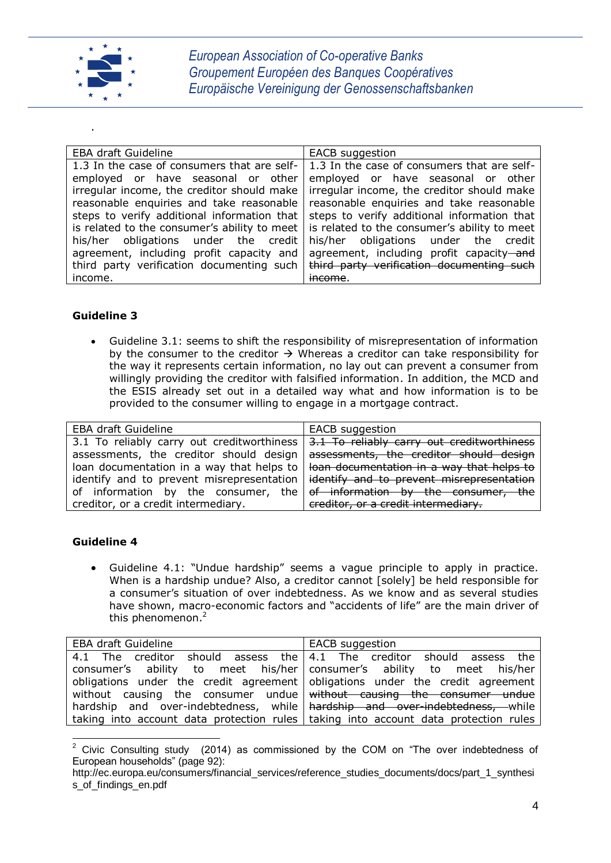

.

| <b>EBA draft Guideline</b>                   | <b>EACB</b> suggestion                       |  |  |
|----------------------------------------------|----------------------------------------------|--|--|
| 1.3 In the case of consumers that are self-  | 1.3 In the case of consumers that are self-  |  |  |
| employed or have seasonal or other           | employed or have seasonal or other           |  |  |
| irregular income, the creditor should make   | irregular income, the creditor should make   |  |  |
| reasonable enquiries and take reasonable     | reasonable enquiries and take reasonable     |  |  |
| steps to verify additional information that  | steps to verify additional information that  |  |  |
| is related to the consumer's ability to meet | is related to the consumer's ability to meet |  |  |
| his/her obligations under the credit         | his/her obligations under the credit         |  |  |
| agreement, including profit capacity and     | agreement, including profit capacity-and     |  |  |
| third party verification documenting such    | third party verification documenting such    |  |  |
| income.                                      | incame                                       |  |  |

# **Guideline 3**

 Guideline 3.1: seems to shift the responsibility of misrepresentation of information by the consumer to the creditor  $\rightarrow$  Whereas a creditor can take responsibility for the way it represents certain information, no lay out can prevent a consumer from willingly providing the creditor with falsified information. In addition, the MCD and the ESIS already set out in a detailed way what and how information is to be provided to the consumer willing to engage in a mortgage contract.

| EBA draft Guideline                        | EACB suggestion                            |
|--------------------------------------------|--------------------------------------------|
| 3.1 To reliably carry out creditworthiness | 3.1 To reliably carry out creditworthiness |
| assessments, the creditor should design    | assessments, the creditor should design    |
| loan documentation in a way that helps to  | loan documentation in a way that helps to  |
| identify and to prevent misrepresentation  | identify and to prevent misrepresentation  |
| of information by the consumer,<br>the     | of information by the consumer, the        |
| creditor, or a credit intermediary.        | creditor, or a credit intermediary.        |
|                                            |                                            |

## **Guideline 4**

 Guideline 4.1: "Undue hardship" seems a vague principle to apply in practice. When is a hardship undue? Also, a creditor cannot [solely] be held responsible for a consumer's situation of over indebtedness. As we know and as several studies have shown, macro-economic factors and "accidents of life" are the main driver of this phenomenon. $<sup>2</sup>$ </sup>

| <b>EBA draft Guideline</b>                                                    | <b>EACB</b> suggestion                                                                |
|-------------------------------------------------------------------------------|---------------------------------------------------------------------------------------|
|                                                                               | 4.1 The creditor should assess the 4.1 The creditor should assess the                 |
| consumer's ability to meet his/her consumer's ability to meet his/her         |                                                                                       |
| obligations under the credit agreement obligations under the credit agreement |                                                                                       |
| without causing the consumer undue without causing the consumer undue         |                                                                                       |
| hardship and over-indebtedness, while   hardship and over-indebtedness, while |                                                                                       |
|                                                                               | taking into account data protection rules   taking into account data protection rules |

 $\sqrt{2}$ <sup>2</sup> Civic Consulting study (2014) as commissioned by the COM on "The over indebtedness of European households" (page 92):

http://ec.europa.eu/consumers/financial\_services/reference\_studies\_documents/docs/part\_1\_synthesi s\_of\_findings\_en.pdf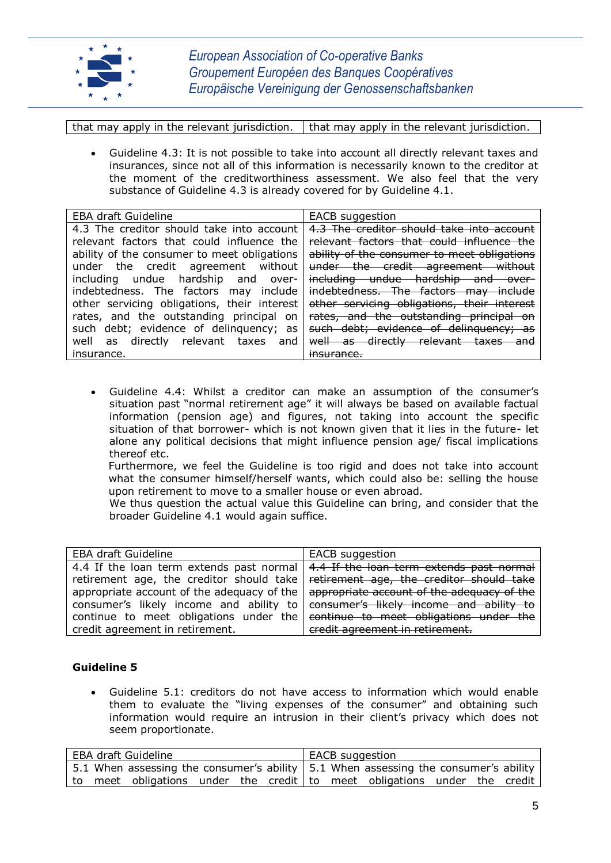

that may apply in the relevant jurisdiction.  $\vert$  that may apply in the relevant jurisdiction.

 Guideline 4.3: It is not possible to take into account all directly relevant taxes and insurances, since not all of this information is necessarily known to the creditor at the moment of the creditworthiness assessment. We also feel that the very substance of Guideline 4.3 is already covered for by Guideline 4.1.

| EBA draft Guideline                         | <b>EACB</b> suggestion                      |  |  |
|---------------------------------------------|---------------------------------------------|--|--|
| 4.3 The creditor should take into account   | 4.3 The creditor should take into account   |  |  |
| relevant factors that could influence the   | relevant factors that could influence the   |  |  |
| ability of the consumer to meet obligations | ability of the consumer to meet obligations |  |  |
| under the credit agreement without          | under the credit agreement without          |  |  |
| including undue hardship and over-          | including undue hardship and over-          |  |  |
| indebtedness. The factors may include       | indebtedness. The factors may include       |  |  |
| other servicing obligations, their interest | other servicing obligations, their interest |  |  |
| rates, and the outstanding principal on     | rates, and the outstanding principal on     |  |  |
| such debt; evidence of delinguency; as      | such debt; evidence of delinquency; as      |  |  |
| well as directly relevant taxes and         | well as directly relevant taxes and         |  |  |
| insurance.                                  |                                             |  |  |

 Guideline 4.4: Whilst a creditor can make an assumption of the consumer's situation past "normal retirement age" it will always be based on available factual information (pension age) and figures, not taking into account the specific situation of that borrower- which is not known given that it lies in the future- let alone any political decisions that might influence pension age/ fiscal implications thereof etc.

Furthermore, we feel the Guideline is too rigid and does not take into account what the consumer himself/herself wants, which could also be: selling the house upon retirement to move to a smaller house or even abroad.

We thus question the actual value this Guideline can bring, and consider that the broader Guideline 4.1 would again suffice.

| <b>EBA draft Guideline</b>                                                               | <b>EACB</b> suggestion                     |
|------------------------------------------------------------------------------------------|--------------------------------------------|
| 4.4 If the loan term extends past normal                                                 | 4.4 If the loan term extends past normal   |
| retirement age, the creditor should take                                                 | retirement age, the creditor should take   |
| appropriate account of the adequacy of the                                               | appropriate account of the adequacy of the |
| consumer's likely income and ability to                                                  | consumer's likely income and ability to    |
| continue to meet obligations under the $\epsilon$ eontinue to meet obligations under the |                                            |
| credit agreement in retirement.                                                          | credit agreement in retirement.            |

## **Guideline 5**

 Guideline 5.1: creditors do not have access to information which would enable them to evaluate the "living expenses of the consumer" and obtaining such information would require an intrusion in their client's privacy which does not seem proportionate.

|  | EBA draft Guideline                                                                   |  |  | EACB suggestion |  |  |
|--|---------------------------------------------------------------------------------------|--|--|-----------------|--|--|
|  | 5.1 When assessing the consumer's ability   5.1 When assessing the consumer's ability |  |  |                 |  |  |
|  | to meet obligations under the credit   to meet obligations under the credit           |  |  |                 |  |  |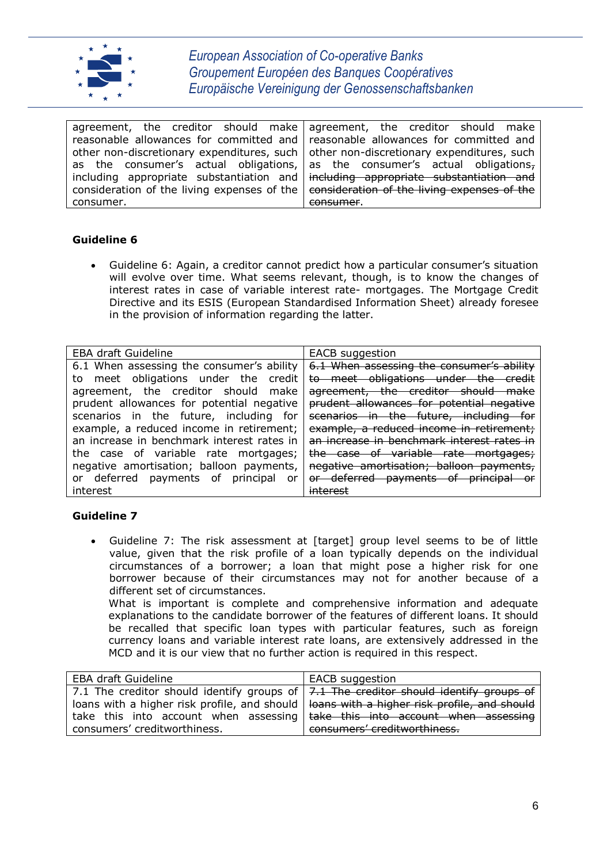

|                                                                                             | agreement, the creditor should make agreement, the creditor should make                 |
|---------------------------------------------------------------------------------------------|-----------------------------------------------------------------------------------------|
| reasonable allowances for committed and reasonable allowances for committed and             |                                                                                         |
|                                                                                             | other non-discretionary expenditures, such   other non-discretionary expenditures, such |
|                                                                                             | as the consumer's actual obligations, as the consumer's actual obligations,             |
| including appropriate substantiation and including appropriate substantiation and           |                                                                                         |
| consideration of the living expenses of the $ $ consideration of the living expenses of the |                                                                                         |
| consumer.                                                                                   | <del>consumer</del> .                                                                   |

# **Guideline 6**

 Guideline 6: Again, a creditor cannot predict how a particular consumer's situation will evolve over time. What seems relevant, though, is to know the changes of interest rates in case of variable interest rate- mortgages. The Mortgage Credit Directive and its ESIS (European Standardised Information Sheet) already foresee in the provision of information regarding the latter.

| <b>EBA draft Guideline</b>                 | EACB suggestion                                                      |
|--------------------------------------------|----------------------------------------------------------------------|
| 6.1 When assessing the consumer's ability  | 6.1 When assessing the consumer's ability                            |
| meet obligations under the<br>credit<br>to | to meet obligations under<br><del>—the</del><br>crodit               |
| agreement, the creditor should make        | agreement, the creditor should<br><del>make</del>                    |
| prudent allowances for potential negative  | prudent allowances for potential negative                            |
| scenarios in the future, including for     | scenarios in the future,<br><del>including -</del><br><del>for</del> |
| example, a reduced income in retirement;   | example, a reduced income in retirement;                             |
| an increase in benchmark interest rates in | an increase in benchmark interest rates in                           |
| the case of variable rate mortgages;       | the case of variable rate mortgages;                                 |
| negative amortisation; balloon payments,   | negative amortisation; balloon payments,                             |
| or deferred payments of principal<br>or    | deferred payments of principal<br>$\theta$ f<br>-or                  |
| interest                                   | interest                                                             |

## **Guideline 7**

 Guideline 7: The risk assessment at [target] group level seems to be of little value, given that the risk profile of a loan typically depends on the individual circumstances of a borrower; a loan that might pose a higher risk for one borrower because of their circumstances may not for another because of a different set of circumstances. What is important is complete and comprehensive information and adequate explanations to the candidate borrower of the features of different loans. It should be recalled that specific loan types with particular features, such as foreign currency loans and variable interest rate loans, are extensively addressed in the MCD and it is our view that no further action is required in this respect.

| EBA draft Guideline                                                                                    | EACB suggestion                                                                         |
|--------------------------------------------------------------------------------------------------------|-----------------------------------------------------------------------------------------|
|                                                                                                        | 7.1 The creditor should identify groups of $7.1$ The creditor should identify groups of |
| loans with a higher risk profile, and should   <del>loans with a higher risk profile, and should</del> |                                                                                         |
| take this into account when assessing   <del>take this into account when assessing</del>               |                                                                                         |
| consumers' creditworthiness.                                                                           | consumers' creditworthiness.                                                            |